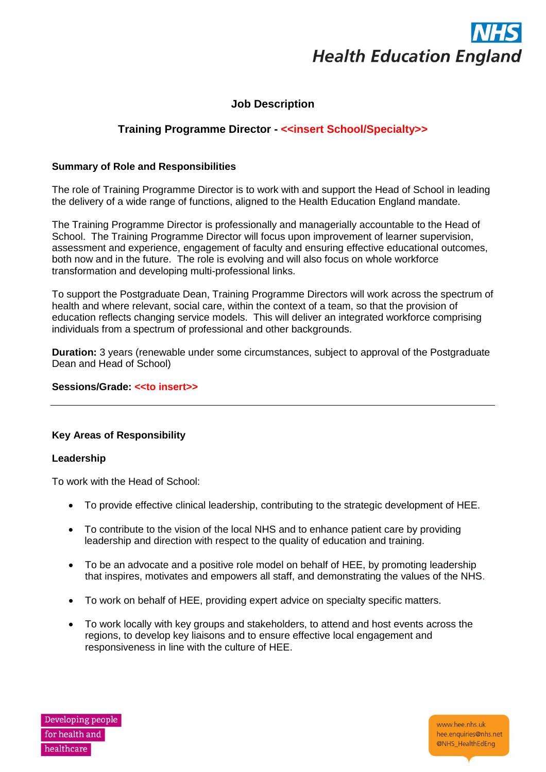

# **Job Description**

# **Training Programme Director - <<insert School/Specialty>>**

## **Summary of Role and Responsibilities**

The role of Training Programme Director is to work with and support the Head of School in leading the delivery of a wide range of functions, aligned to the Health Education England mandate.

The Training Programme Director is professionally and managerially accountable to the Head of School. The Training Programme Director will focus upon improvement of learner supervision, assessment and experience, engagement of faculty and ensuring effective educational outcomes, both now and in the future. The role is evolving and will also focus on whole workforce transformation and developing multi-professional links.

To support the Postgraduate Dean, Training Programme Directors will work across the spectrum of health and where relevant, social care, within the context of a team, so that the provision of education reflects changing service models. This will deliver an integrated workforce comprising individuals from a spectrum of professional and other backgrounds.

**Duration:** 3 years (renewable under some circumstances, subject to approval of the Postgraduate Dean and Head of School)

### **Sessions/Grade: <<to insert>>**

#### **Key Areas of Responsibility**

#### **Leadership**

To work with the Head of School:

- To provide effective clinical leadership, contributing to the strategic development of HEE.
- To contribute to the vision of the local NHS and to enhance patient care by providing leadership and direction with respect to the quality of education and training.
- To be an advocate and a positive role model on behalf of HEE, by promoting leadership that inspires, motivates and empowers all staff, and demonstrating the values of the NHS.
- To work on behalf of HEE, providing expert advice on specialty specific matters.
- To work locally with key groups and stakeholders, to attend and host events across the regions, to develop key liaisons and to ensure effective local engagement and responsiveness in line with the culture of HEE.



www.hee.nhs.uk hee.enquiries@nhs.net @NHS\_HealthEdEng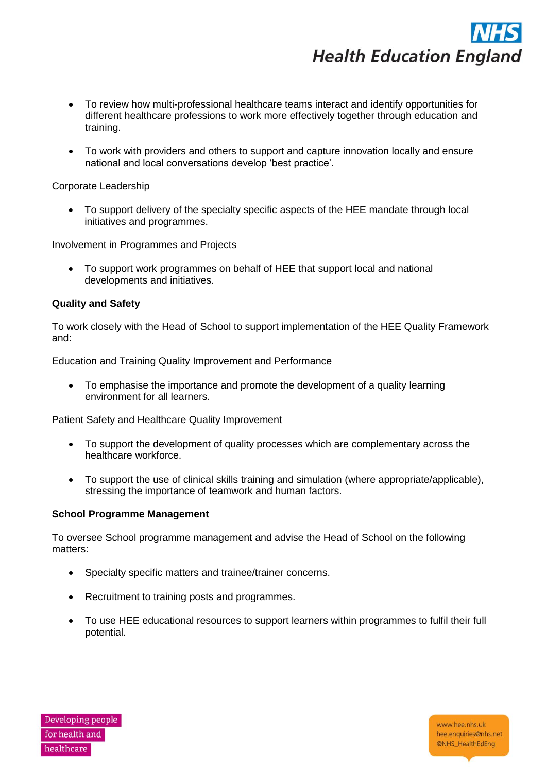

- To review how multi-professional healthcare teams interact and identify opportunities for different healthcare professions to work more effectively together through education and training.
- To work with providers and others to support and capture innovation locally and ensure national and local conversations develop 'best practice'.

## Corporate Leadership

• To support delivery of the specialty specific aspects of the HEE mandate through local initiatives and programmes.

Involvement in Programmes and Projects

• To support work programmes on behalf of HEE that support local and national developments and initiatives.

## **Quality and Safety**

To work closely with the Head of School to support implementation of the HEE Quality Framework and:

Education and Training Quality Improvement and Performance

• To emphasise the importance and promote the development of a quality learning environment for all learners.

Patient Safety and Healthcare Quality Improvement

- To support the development of quality processes which are complementary across the healthcare workforce.
- To support the use of clinical skills training and simulation (where appropriate/applicable), stressing the importance of teamwork and human factors.

#### **School Programme Management**

To oversee School programme management and advise the Head of School on the following matters:

- Specialty specific matters and trainee/trainer concerns.
- Recruitment to training posts and programmes.
- To use HEE educational resources to support learners within programmes to fulfil their full potential.

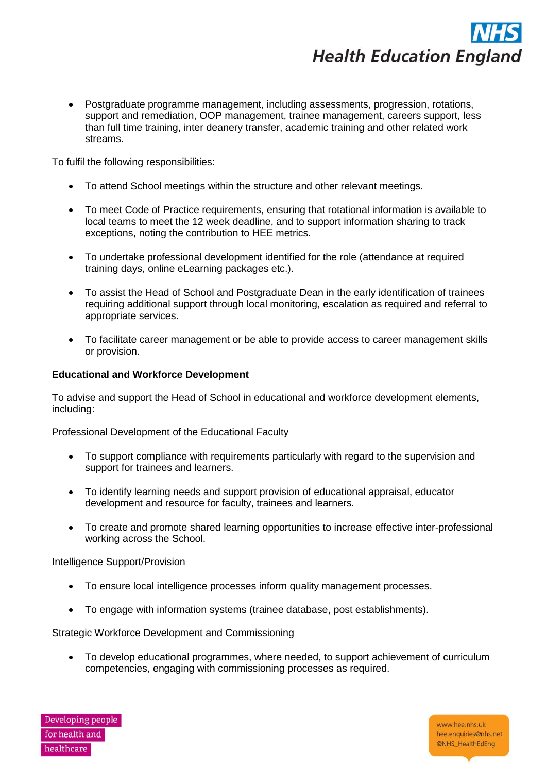

• Postgraduate programme management, including assessments, progression, rotations, support and remediation, OOP management, trainee management, careers support, less than full time training, inter deanery transfer, academic training and other related work streams.

To fulfil the following responsibilities:

- To attend School meetings within the structure and other relevant meetings.
- To meet Code of Practice requirements, ensuring that rotational information is available to local teams to meet the 12 week deadline, and to support information sharing to track exceptions, noting the contribution to HEE metrics.
- To undertake professional development identified for the role (attendance at required training days, online eLearning packages etc.).
- To assist the Head of School and Postgraduate Dean in the early identification of trainees requiring additional support through local monitoring, escalation as required and referral to appropriate services.
- To facilitate career management or be able to provide access to career management skills or provision.

#### **Educational and Workforce Development**

To advise and support the Head of School in educational and workforce development elements, including:

Professional Development of the Educational Faculty

- To support compliance with requirements particularly with regard to the supervision and support for trainees and learners.
- To identify learning needs and support provision of educational appraisal, educator development and resource for faculty, trainees and learners.
- To create and promote shared learning opportunities to increase effective inter-professional working across the School.

Intelligence Support/Provision

- To ensure local intelligence processes inform quality management processes.
- To engage with information systems (trainee database, post establishments).

Strategic Workforce Development and Commissioning

• To develop educational programmes, where needed, to support achievement of curriculum competencies, engaging with commissioning processes as required.